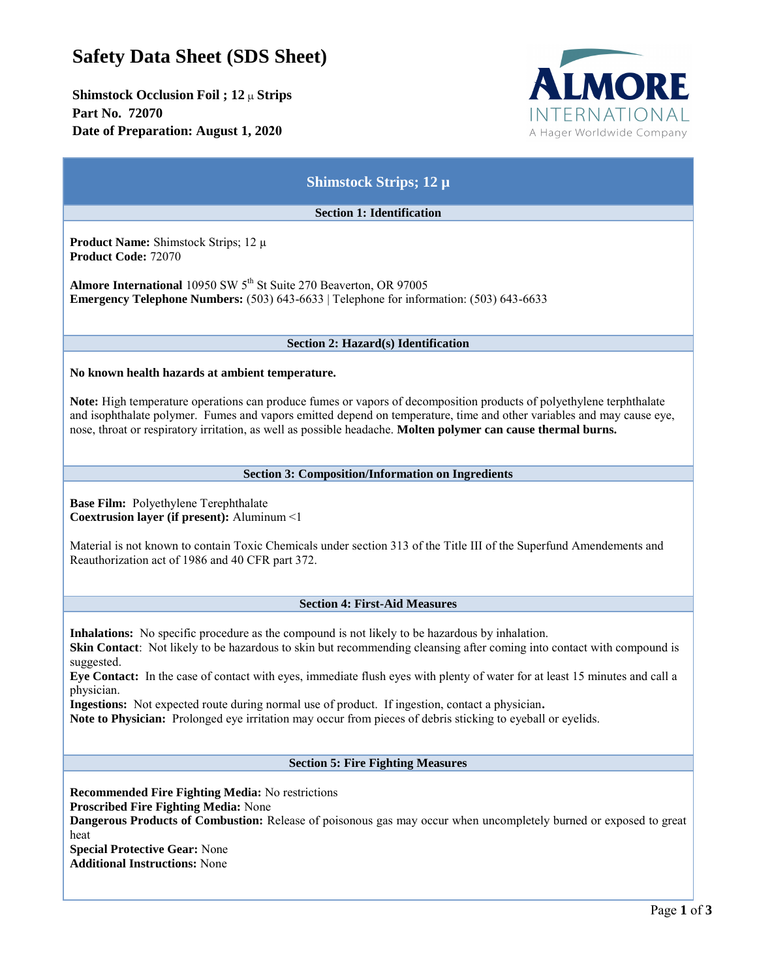# **Safety Data Sheet (SDS Sheet)**

**Shimstock Occlusion Foil ; 12** µ **Strips Part No. 72070 Date of Preparation: August 1, 2020**



## **Shimstock Strips; 12 µ**

**Section 1: Identification**

**Product Name:** Shimstock Strips; 12 µ **Product Code:** 72070

**Almore International 10950 SW 5<sup>th</sup> St Suite 270 Beaverton, OR 97005 Emergency Telephone Numbers:** (503) 643-6633 | Telephone for information: (503) 643-6633

## **Section 2: Hazard(s) Identification**

## **No known health hazards at ambient temperature.**

**Note:** High temperature operations can produce fumes or vapors of decomposition products of polyethylene terphthalate and isophthalate polymer. Fumes and vapors emitted depend on temperature, time and other variables and may cause eye, nose, throat or respiratory irritation, as well as possible headache. **Molten polymer can cause thermal burns.**

## **Section 3: Composition/Information on Ingredients**

**Base Film:** Polyethylene Terephthalate **Coextrusion layer (if present):** Aluminum <1

Material is not known to contain Toxic Chemicals under section 313 of the Title III of the Superfund Amendements and Reauthorization act of 1986 and 40 CFR part 372.

## **Section 4: First-Aid Measures**

**Inhalations:** No specific procedure as the compound is not likely to be hazardous by inhalation.

**Skin Contact**: Not likely to be hazardous to skin but recommending cleansing after coming into contact with compound is suggested.

**Eye Contact:** In the case of contact with eyes, immediate flush eyes with plenty of water for at least 15 minutes and call a physician.

**Ingestions:** Not expected route during normal use of product. If ingestion, contact a physician**.**

**Note to Physician:** Prolonged eye irritation may occur from pieces of debris sticking to eyeball or eyelids.

## **Section 5: Fire Fighting Measures**

**Recommended Fire Fighting Media:** No restrictions **Proscribed Fire Fighting Media:** None **Dangerous Products of Combustion:** Release of poisonous gas may occur when uncompletely burned or exposed to great heat **Special Protective Gear:** None

**Additional Instructions:** None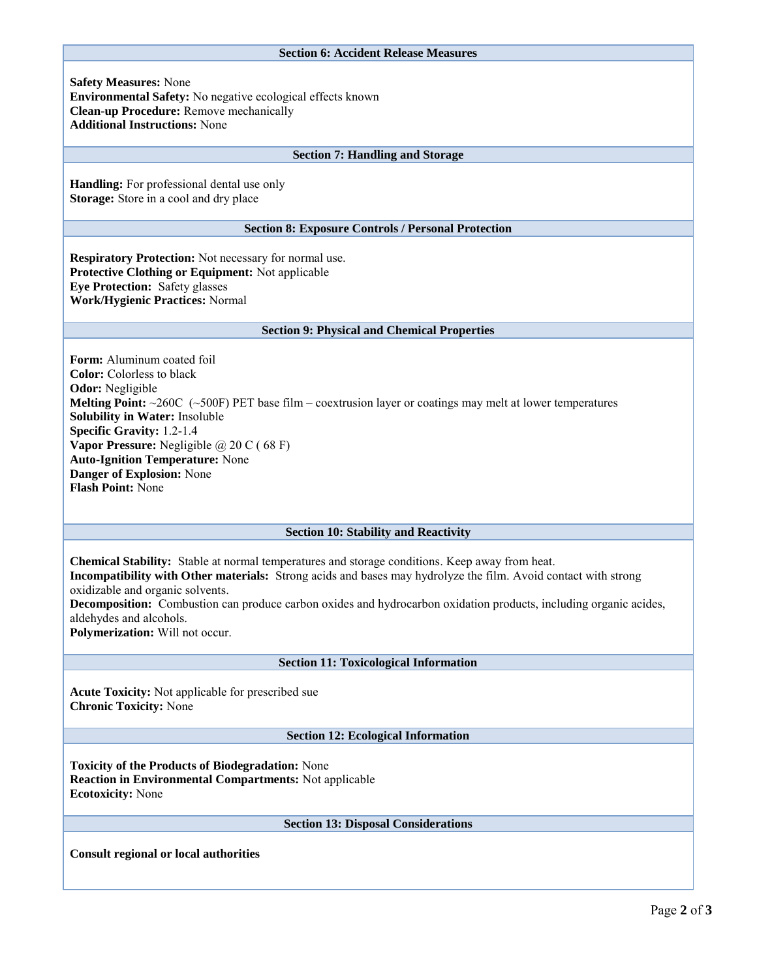## **Section 6: Accident Release Measures**

**Safety Measures:** None **Environmental Safety:** No negative ecological effects known **Clean-up Procedure:** Remove mechanically **Additional Instructions:** None

#### **Section 7: Handling and Storage**

**Handling:** For professional dental use only **Storage:** Store in a cool and dry place

#### **Section 8: Exposure Controls / Personal Protection**

**Respiratory Protection:** Not necessary for normal use. **Protective Clothing or Equipment:** Not applicable **Eye Protection:** Safety glasses **Work/Hygienic Practices:** Normal

#### **Section 9: Physical and Chemical Properties**

**Form:** Aluminum coated foil **Color:** Colorless to black **Odor:** Negligible **Melting Point:** ~260C (~500F) PET base film – coextrusion layer or coatings may melt at lower temperatures **Solubility in Water:** Insoluble **Specific Gravity:** 1.2-1.4 **Vapor Pressure:** Negligible @ 20 C ( 68 F) **Auto-Ignition Temperature:** None **Danger of Explosion:** None **Flash Point:** None

#### **Section 10: Stability and Reactivity**

**Chemical Stability:** Stable at normal temperatures and storage conditions. Keep away from heat. **Incompatibility with Other materials:** Strong acids and bases may hydrolyze the film. Avoid contact with strong oxidizable and organic solvents. **Decomposition:** Combustion can produce carbon oxides and hydrocarbon oxidation products, including organic acides, aldehydes and alcohols.

**Polymerization:** Will not occur.

#### **Section 11: Toxicological Information**

**Acute Toxicity:** Not applicable for prescribed sue **Chronic Toxicity:** None

#### **Section 12: Ecological Information**

**Toxicity of the Products of Biodegradation:** None **Reaction in Environmental Compartments:** Not applicable **Ecotoxicity:** None

## **Section 13: Disposal Considerations**

**Consult regional or local authorities**